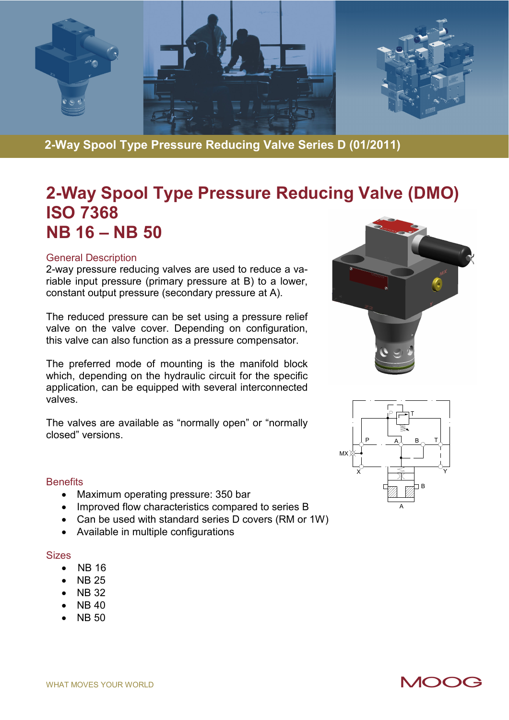

**2-Way Spool Type Pressure Reducing Valve Series D (01/2011)** 

# **2-Way Spool Type Pressure Reducing Valve (DMO) ISO 7368 NB 16 – NB 50**

#### General Description

2-way pressure reducing valves are used to reduce a variable input pressure (primary pressure at B) to a lower, constant output pressure (secondary pressure at A).

The reduced pressure can be set using a pressure relief valve on the valve cover. Depending on configuration, this valve can also function as a pressure compensator.

The preferred mode of mounting is the manifold block which, depending on the hydraulic circuit for the specific application, can be equipped with several interconnected valves.

The valves are available as "normally open" or "normally closed" versions.





#### **Benefits**

- Maximum operating pressure: 350 bar
- Improved flow characteristics compared to series B
- Can be used with standard series D covers (RM or 1W)
- Available in multiple configurations

#### **Sizes**

- NB 16
- NB 25
- NB 32
- $\bullet$  NB 40
- NB 50

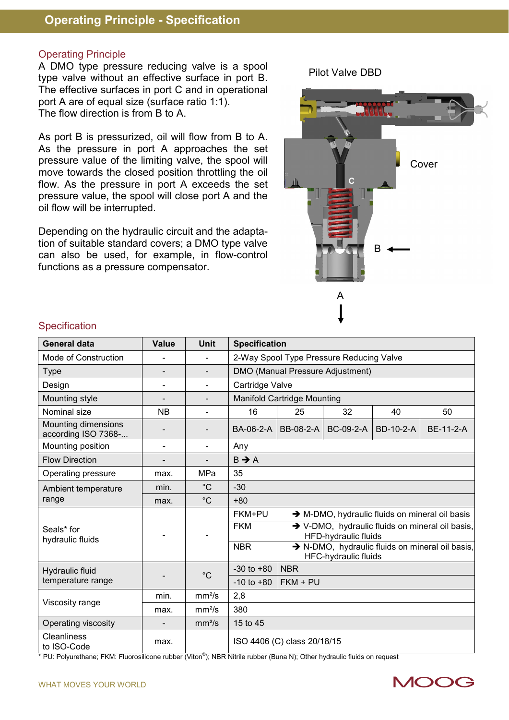#### Operating Principle

A DMO type pressure reducing valve is a spool type valve without an effective surface in port B. The effective surfaces in port C and in operational port A are of equal size (surface ratio 1:1). The flow direction is from B to A.

As port B is pressurized, oil will flow from B to A. As the pressure in port A approaches the set pressure value of the limiting valve, the spool will move towards the closed position throttling the oil flow. As the pressure in port A exceeds the set pressure value, the spool will close port A and the oil flow will be interrupted.

Depending on the hydraulic circuit and the adaptation of suitable standard covers; a DMO type valve can also be used, for example, in flow-control functions as a pressure compensator.



Pilot Valve DBD

#### **Specification**

| <b>General data</b>                        | Value                    | <b>Unit</b>        | <b>Specification</b>                     |            |                      |           |                                                                                                                                                      |  |
|--------------------------------------------|--------------------------|--------------------|------------------------------------------|------------|----------------------|-----------|------------------------------------------------------------------------------------------------------------------------------------------------------|--|
| Mode of Construction                       |                          |                    | 2-Way Spool Type Pressure Reducing Valve |            |                      |           |                                                                                                                                                      |  |
| Type                                       | $\overline{\phantom{0}}$ |                    | DMO (Manual Pressure Adjustment)         |            |                      |           |                                                                                                                                                      |  |
| Design                                     | ۳                        | $\blacksquare$     | Cartridge Valve                          |            |                      |           |                                                                                                                                                      |  |
| Mounting style                             |                          |                    | <b>Manifold Cartridge Mounting</b>       |            |                      |           |                                                                                                                                                      |  |
| Nominal size                               | <b>NB</b>                |                    | 16                                       | 25         | 32                   | 40        | 50                                                                                                                                                   |  |
| Mounting dimensions<br>according ISO 7368- |                          |                    | BA-06-2-A                                | BB-08-2-A  | <b>BC-09-2-A</b>     | BD-10-2-A | <b>BE-11-2-A</b>                                                                                                                                     |  |
| Mounting position                          | $\overline{a}$           | $\blacksquare$     | Any                                      |            |                      |           |                                                                                                                                                      |  |
| <b>Flow Direction</b>                      |                          | -                  | $B \rightarrow A$                        |            |                      |           |                                                                                                                                                      |  |
| Operating pressure                         | max.                     | MPa                | 35                                       |            |                      |           |                                                                                                                                                      |  |
| Ambient temperature                        | min.                     | $^{\circ}$ C       | $-30$                                    |            |                      |           |                                                                                                                                                      |  |
| range                                      | max.                     | $^{\circ}C$        | $+80$                                    |            |                      |           |                                                                                                                                                      |  |
| Seals* for<br>hydraulic fluids             |                          |                    | FKM+PU<br><b>FKM</b><br><b>NBR</b>       |            | HFD-hydraulic fluids |           | → M-DMO, hydraulic fluids on mineral oil basis<br>→ V-DMO, hydraulic fluids on mineral oil basis,<br>> N-DMO, hydraulic fluids on mineral oil basis, |  |
|                                            |                          |                    | $-30$ to $+80$                           | <b>NBR</b> | HFC-hydraulic fluids |           |                                                                                                                                                      |  |
| Hydraulic fluid<br>temperature range       |                          | $^{\circ}$ C       | $-10$ to $+80$                           | $FKM + PU$ |                      |           |                                                                                                                                                      |  |
|                                            | min.                     | mm <sup>2</sup> /s | 2,8                                      |            |                      |           |                                                                                                                                                      |  |
| Viscosity range                            | max.                     | mm <sup>2</sup> /s | 380                                      |            |                      |           |                                                                                                                                                      |  |
| Operating viscosity                        |                          | mm <sup>2</sup> /s | 15 to 45                                 |            |                      |           |                                                                                                                                                      |  |
| <b>Cleanliness</b><br>to ISO-Code          | max.                     |                    | ISO 4406 (C) class 20/18/15              |            |                      |           |                                                                                                                                                      |  |

\* PU: Polyurethane; FKM: Fluorosilicone rubber (Viton®); NBR Nitrile rubber (Buna N); Other hydraulic fluids on request



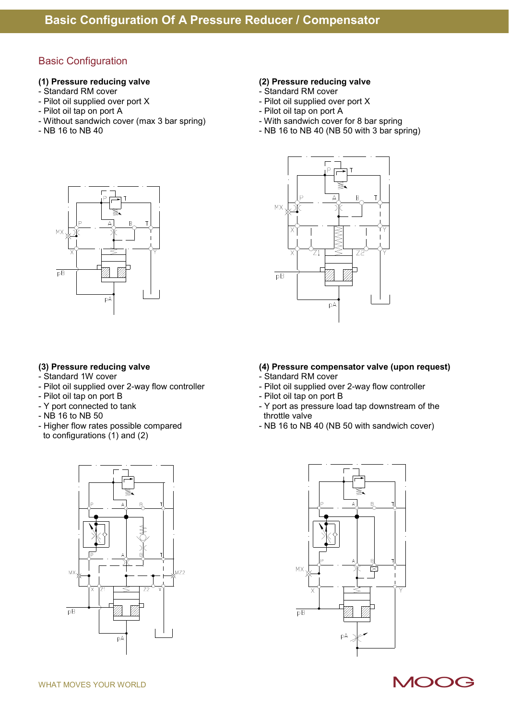### Basic Configuration

- 
- Standard RM cover  $\overline{ }$  Standard RM cover<br>
 Pilot oil supplied over port X - Pilot oil supplied over port X<br>
- Pilot oil supplied over port X<br>
- Pilot oil tap on port A<br>
- Pilot oil tap on port A
- 
- Without sandwich cover (max 3 bar spring)<br>- NB 16 to NB 40
- 

# **(1) Pressure reducing valve (2) Pressure reducing valve**

- 
- 
- 
- Pilot oil tap on port A<br>- With sandwich cover for 8 bar spring
- $-$  NB 16 to NB 40 (NB 50 with 3 bar spring)



- Standard 1W cover  **Standard RM cover** Standard RM cover
- Pilot oil supplied over 2-way flow controller Pilot oil supplied over 2-way flow controller
- Pilot oil tap on port B Pilot oil tap on port B
- 
- 
- NB 16 to NB 50<br>- Higher flow rates possible compared to configurations (1) and (2)





#### **(3) Pressure reducing valve (4) Pressure compensator valve (upon request)**

- 
- 
- 
- Y port connected to tank Y port as pressure load tap downstream of the<br>- NB 16 to NB 50<br>- Y port as pressure load tap downstream of the
	- NB 16 to NB 40 (NB 50 with sandwich cover)



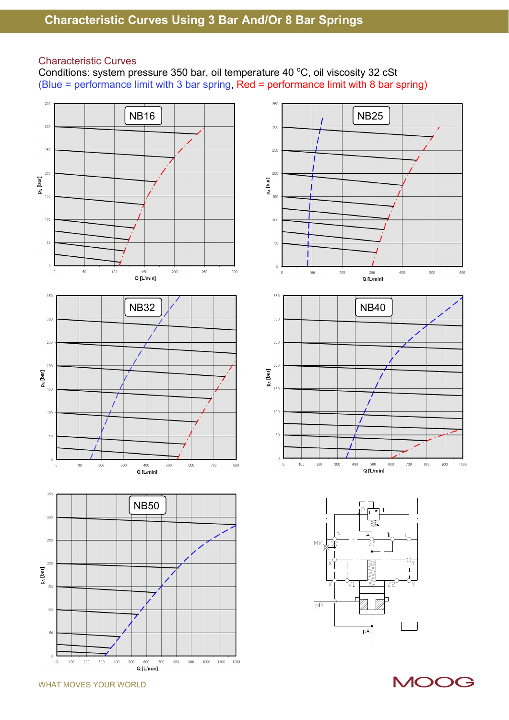#### Characteristic Curves

Conditions: system pressure 350 bar, oil temperature 40  $^{\circ}$ C, oil viscosity 32 cSt (Blue = performance limit with 3 bar spring, Red = performance limit with 8 bar spring)







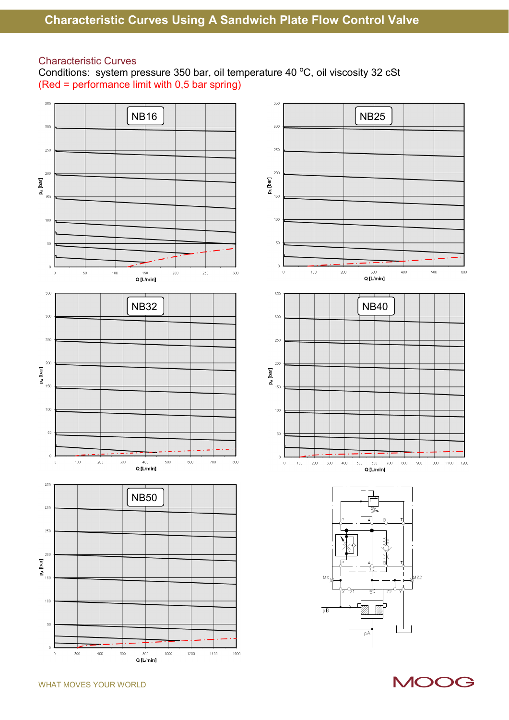#### Characteristic Curves

Conditions: system pressure 350 bar, oil temperature 40 °C, oil viscosity 32 cSt (Red = performance limit with 0,5 bar spring)

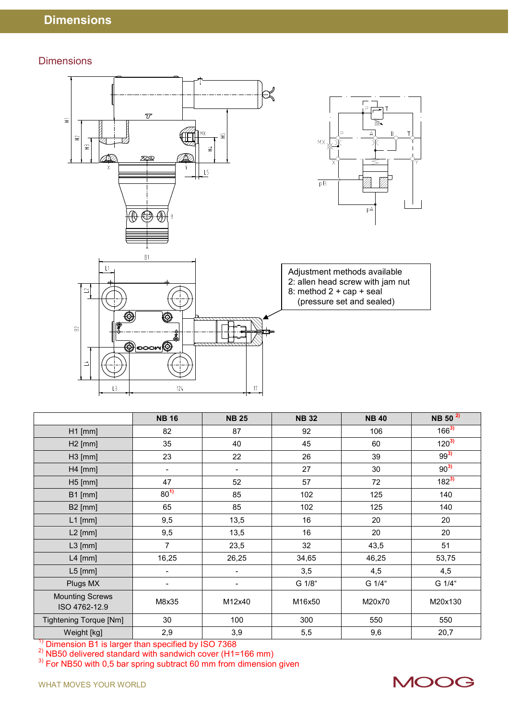#### **Dimensions**



|                                         | <b>NB 16</b>                 | <b>NB 25</b>                 | <b>NB32</b> | <b>NB 40</b> | NB 50 <sup>2)</sup> |
|-----------------------------------------|------------------------------|------------------------------|-------------|--------------|---------------------|
| $H1$ [mm]                               | 82                           | 87                           | 92          | 106          | $166^{3}$           |
| $H2$ [mm]                               | 35                           | 40                           | 45          | 60           | $120^{3}$           |
| $H3$ [mm]                               | 23                           | 22                           | 26          | 39           | $99^{3}$            |
| $H4$ [mm]                               | $\qquad \qquad \blacksquare$ | $\overline{\phantom{0}}$     | 27          | 30           | $90^{3}$            |
| $H5$ [mm]                               | 47                           | 52                           | 57          | 72           | $182^{3}$           |
| $B1$ [mm]                               | $80^{1}$                     | 85                           | 102         | 125          | 140                 |
| <b>B2</b> [mm]                          | 65                           | 85                           | 102         | 125          | 140                 |
| $L1$ [mm]                               | 9,5                          | 13,5                         | 16          | 20           | 20                  |
| $L2$ [mm]                               | 9,5                          | 13,5                         | 16          | 20           | 20                  |
| $L3$ [mm]                               | 7                            | 23,5                         | 32          | 43,5         | 51                  |
| $L4$ [mm]                               | 16,25                        | 26,25                        | 34,65       | 46,25        | 53,75               |
| $L5$ [mm]                               | $\overline{\phantom{0}}$     | $\qquad \qquad \blacksquare$ | 3,5         | 4,5          | 4,5                 |
| Plugs MX                                | $\overline{\phantom{a}}$     | $\overline{\phantom{0}}$     | G 1/8"      | G 1/4"       | G 1/4"              |
| <b>Mounting Screws</b><br>ISO 4762-12.9 | M8x35                        | M12x40                       | M16x50      | M20x70       | M20x130             |
| <b>Tightening Torque [Nm]</b>           | 30                           | 100                          | 300         | 550          | 550                 |
| Weight [kg]                             | 2,9                          | 3,9                          | 5,5         | 9,6          | 20,7                |

 $\frac{1}{2}$  Dimension B1 is larger than specified by ISO 7368

<sup>2)</sup> NB50 delivered standard with sandwich cover (H1=166 mm)

 $3)$  For NB50 with 0,5 bar spring subtract 60 mm from dimension given

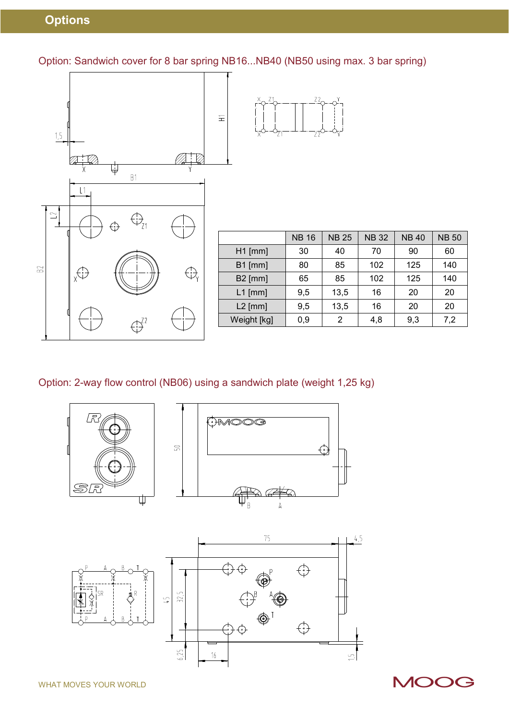## **Options**

Option: Sandwich cover for 8 bar spring NB16...NB40 (NB50 using max. 3 bar spring)



|                | <b>NB 16</b> | <b>NB 25</b> | <b>NB32</b> | <b>NB40</b> | <b>NB 50</b> |
|----------------|--------------|--------------|-------------|-------------|--------------|
| $H1$ [mm]      | 30           | 40           | 70          | 90          | 60           |
| <b>B1</b> [mm] | 80           | 85           | 102         | 125         | 140          |
| <b>B2</b> [mm] | 65           | 85           | 102         | 125         | 140          |
| $L1$ [mm]      | 9,5          | 13,5         | 16          | 20          | 20           |
| $L2$ [mm]      | 9,5          | 13,5         | 16          | 20          | 20           |
| Weight [kg]    | 0,9          | 2            | 4,8         | 9,3         | 7,2          |
|                |              |              |             |             |              |

## Option: 2-way flow control (NB06) using a sandwich plate (weight 1,25 kg)



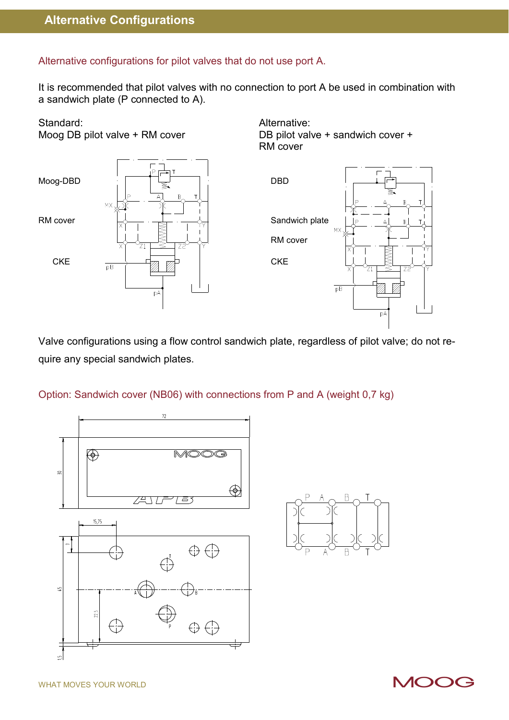#### Alternative configurations for pilot valves that do not use port A.

It is recommended that pilot valves with no connection to port A be used in combination with a sandwich plate (P connected to A).

# Standard: Alternative:



Moog DB pilot valve + RM cover DB pilot valve + sandwich cover + RM cover



Valve configurations using a flow control sandwich plate, regardless of pilot valve; do not require any special sandwich plates.

#### Option: Sandwich cover (NB06) with connections from P and A (weight 0,7 kg)



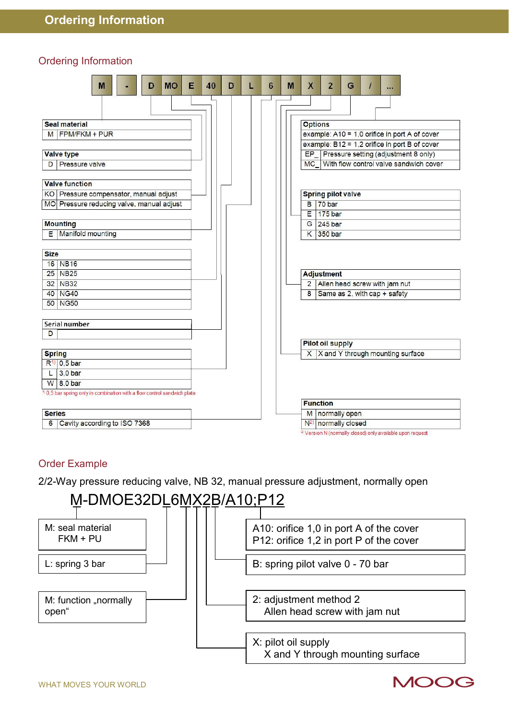#### Ordering Information

| <b>MO</b><br>Е<br>40<br>M<br>D                                                      | D | 6<br>L | M | X               | $\overline{2}$                   | G |                                                                      |                                               |
|-------------------------------------------------------------------------------------|---|--------|---|-----------------|----------------------------------|---|----------------------------------------------------------------------|-----------------------------------------------|
|                                                                                     |   |        |   |                 |                                  |   |                                                                      |                                               |
| <b>Seal material</b>                                                                |   |        |   | <b>Options</b>  |                                  |   |                                                                      |                                               |
| M FPM/FKM + PUR                                                                     |   |        |   |                 |                                  |   |                                                                      | example: A10 = 1,0 orifice in port A of cover |
|                                                                                     |   |        |   |                 |                                  |   |                                                                      | example: B12 = 1,2 orifice in port B of cover |
| <b>Valve type</b>                                                                   |   |        |   |                 |                                  |   |                                                                      | EP_ Pressure setting (adjustment 8 only)      |
| Pressure valve<br>D                                                                 |   |        |   |                 |                                  |   |                                                                      | MC With flow control valve sandwich cover     |
|                                                                                     |   |        |   |                 |                                  |   |                                                                      |                                               |
| <b>Valve function</b>                                                               |   |        |   |                 |                                  |   |                                                                      |                                               |
| KO Pressure compensator, manual adjust                                              |   |        |   |                 | <b>Spring pilot valve</b>        |   |                                                                      |                                               |
| MO Pressure reducing valve, manual adjust                                           |   |        |   | B               | 70 bar                           |   |                                                                      |                                               |
|                                                                                     |   |        |   | E               | 175 bar                          |   |                                                                      |                                               |
| <b>Mounting</b>                                                                     |   |        |   |                 | G 245 bar                        |   |                                                                      |                                               |
| E   Manifold mounting                                                               |   |        |   |                 | K 350 bar                        |   |                                                                      |                                               |
|                                                                                     |   |        |   |                 |                                  |   |                                                                      |                                               |
| <b>Size</b>                                                                         |   |        |   |                 |                                  |   |                                                                      |                                               |
| 16 NB16                                                                             |   |        |   |                 |                                  |   |                                                                      |                                               |
| 25 NB25                                                                             |   |        |   |                 | Adjustment                       |   |                                                                      |                                               |
| 32 NB32                                                                             |   |        |   | $\overline{2}$  |                                  |   | Allen head screw with jam nut                                        |                                               |
| 40 NG40                                                                             |   |        |   | 8               |                                  |   | Same as 2, with cap + safety                                         |                                               |
| 50 NG50                                                                             |   |        |   |                 |                                  |   |                                                                      |                                               |
|                                                                                     |   |        |   |                 |                                  |   |                                                                      |                                               |
| Serial number                                                                       |   |        |   |                 |                                  |   |                                                                      |                                               |
| D                                                                                   |   |        |   |                 |                                  |   |                                                                      |                                               |
|                                                                                     |   |        |   |                 | <b>Pilot oil supply</b>          |   |                                                                      |                                               |
| <b>Spring</b>                                                                       |   |        |   |                 |                                  |   | X   X and Y through mounting surface                                 |                                               |
| $R^{1)}$ 0.5 bar                                                                    |   |        |   |                 |                                  |   |                                                                      |                                               |
| 3.0 bar                                                                             |   |        |   |                 |                                  |   |                                                                      |                                               |
| $W$ 8,0 bar                                                                         |   |        |   |                 |                                  |   |                                                                      |                                               |
| <sup>1)</sup> 0,5 bar spring only in combination with a flow control sandwich plate |   |        |   |                 |                                  |   |                                                                      |                                               |
|                                                                                     |   |        |   | <b>Function</b> |                                  |   |                                                                      |                                               |
| <b>Series</b>                                                                       |   |        |   |                 | M normally open                  |   |                                                                      |                                               |
| Cavity according to ISO 7368<br>6                                                   |   |        |   |                 | N <sup>2</sup> ) normally closed |   |                                                                      |                                               |
|                                                                                     |   |        |   |                 |                                  |   | <sup>2</sup> Version N (normally closed) only available upon request |                                               |

#### Order Example

2/2-Way pressure reducing valve, NB 32, manual pressure adjustment, normally open

# M-DMOE32DL6MX2B/A10;P12



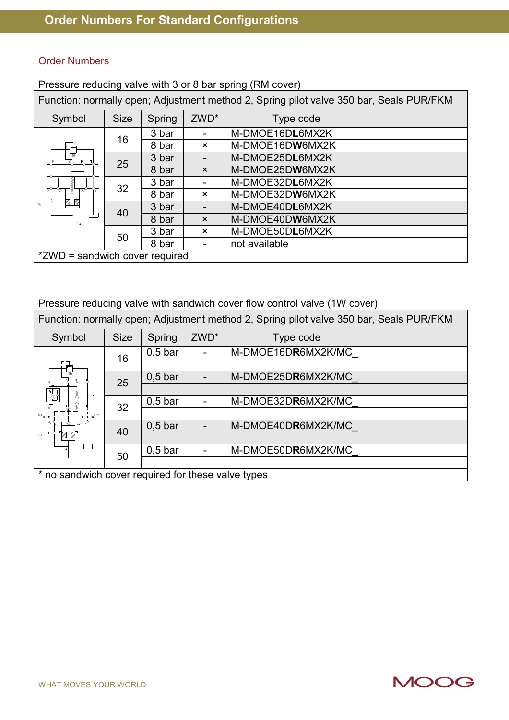#### Order Numbers

Pressure reducing valve with 3 or 8 bar spring (RM cover)

Function: normally open; Adjustment method 2, Spring pilot valve 350 bar, Seals PUR/FKM

| Symbol                         | <b>Size</b> | Spring | ZWD*                      | Type code       |  |
|--------------------------------|-------------|--------|---------------------------|-----------------|--|
|                                | 16          | 3 bar  |                           | M-DMOE16DL6MX2K |  |
| l⊵⊫a                           |             | 8 bar  | $\boldsymbol{\mathsf{x}}$ | M-DMOE16DW6MX2K |  |
| হ                              | 25          | 3 bar  |                           | M-DMOE25DL6MX2K |  |
|                                |             | 8 bar  | $\boldsymbol{\times}$     | M-DMOE25DW6MX2K |  |
| WWW                            | 32          | 3 bar  |                           | M-DMOE32DL6MX2K |  |
| $\frac{1}{21}$<br>Tza∀         |             | 8 bar  | $\boldsymbol{\mathsf{x}}$ | M-DMOE32DW6MX2K |  |
| 7<br>PR                        | 40          | 3 bar  |                           | M-DMOE40DL6MX2K |  |
| PA                             |             | 8 bar  | $\boldsymbol{\mathsf{x}}$ | M-DMOE40DW6MX2K |  |
|                                | 50          | 3 bar  | $\boldsymbol{\mathsf{x}}$ | M-DMOE50DL6MX2K |  |
|                                |             | 8 bar  |                           | not available   |  |
| *ZWD = sandwich cover required |             |        |                           |                 |  |

Pressure reducing valve with sandwich cover flow control valve (1W cover)

Function: normally open; Adjustment method 2, Spring pilot valve 350 bar, Seals PUR/FKM

| Symbol                                             | <b>Size</b> | Spring    | ZWD* | Type code          |  |
|----------------------------------------------------|-------------|-----------|------|--------------------|--|
|                                                    | 16          | $0,5$ bar |      | M-DMOE16DR6MX2K/MC |  |
|                                                    |             |           |      |                    |  |
|                                                    | 25          | $0,5$ bar |      | M-DMOE25DR6MX2K/MC |  |
| ₹                                                  |             |           |      |                    |  |
|                                                    | 32          | $0,5$ bar |      | M-DMOE32DR6MX2K/MC |  |
| WZ2<br>Wx J                                        |             |           |      |                    |  |
| <u>≤ 72</u> ° প                                    | 40          | $0,5$ bar |      | M-DMOE40DR6MX2K/MC |  |
| $\overline{AB}$                                    |             |           |      |                    |  |
| pA                                                 | 50          | $0,5$ bar |      | M-DMOE50DR6MX2K/MC |  |
|                                                    |             |           |      |                    |  |
| * no sandwich cover required for these valve types |             |           |      |                    |  |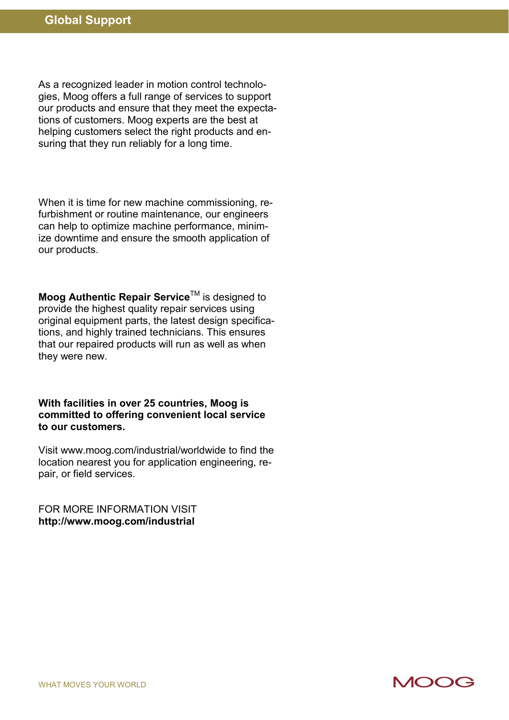As a recognized leader in motion control technologies, Moog offers a full range of services to support our products and ensure that they meet the expectations of customers. Moog experts are the best at helping customers select the right products and ensuring that they run reliably for a long time.

When it is time for new machine commissioning, refurbishment or routine maintenance, our engineers can help to optimize machine performance, minimize downtime and ensure the smooth application of our products.

**Moog Authentic Repair Service™** is designed to provide the highest quality repair services using original equipment parts, the latest design specifications, and highly trained technicians. This ensures that our repaired products will run as well as when they were new.

**With facilities in over 25 countries, Moog is committed to offering convenient local service to our customers.** 

Visit www.moog.com/industrial/worldwide to find the location nearest you for application engineering, repair, or field services.

FOR MORE INFORMATION VISIT **http://www.moog.com/industrial**